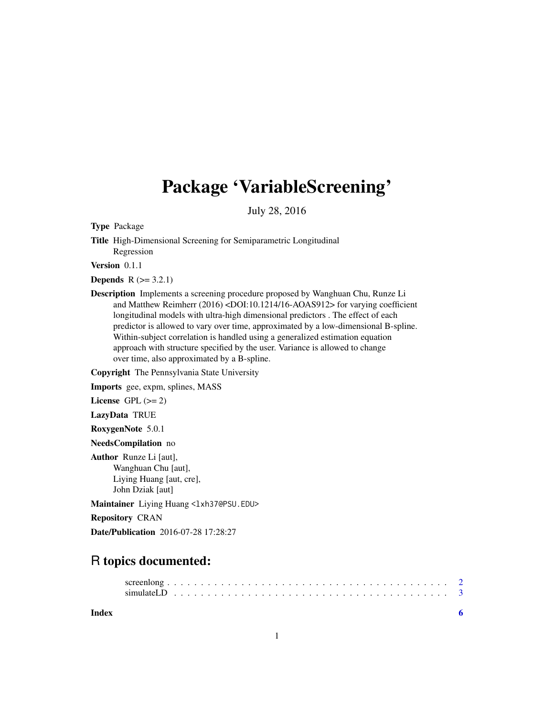## Package 'VariableScreening'

July 28, 2016

Type Package

Title High-Dimensional Screening for Semiparametric Longitudinal Regression

Version 0.1.1

**Depends**  $R (= 3.2.1)$ 

Description Implements a screening procedure proposed by Wanghuan Chu, Runze Li and Matthew Reimherr (2016) <DOI:10.1214/16-AOAS912> for varying coefficient longitudinal models with ultra-high dimensional predictors . The effect of each predictor is allowed to vary over time, approximated by a low-dimensional B-spline. Within-subject correlation is handled using a generalized estimation equation approach with structure specified by the user. Variance is allowed to change over time, also approximated by a B-spline.

Copyright The Pennsylvania State University

Imports gee, expm, splines, MASS

License GPL  $(>= 2)$ 

LazyData TRUE

RoxygenNote 5.0.1

NeedsCompilation no

Author Runze Li [aut], Wanghuan Chu [aut], Liying Huang [aut, cre], John Dziak [aut]

Maintainer Liying Huang <lxh37@PSU.EDU>

Repository CRAN

Date/Publication 2016-07-28 17:28:27

## R topics documented:

**Index** [6](#page-5-0) **6**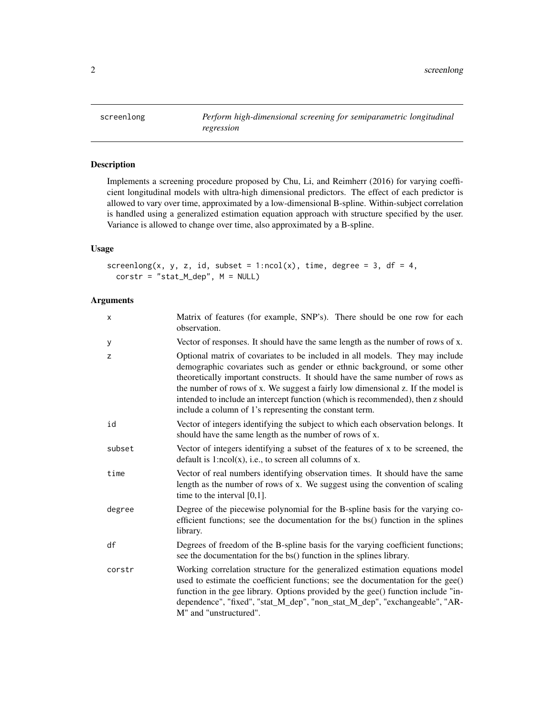<span id="page-1-0"></span>

#### Description

Implements a screening procedure proposed by Chu, Li, and Reimherr (2016) for varying coefficient longitudinal models with ultra-high dimensional predictors. The effect of each predictor is allowed to vary over time, approximated by a low-dimensional B-spline. Within-subject correlation is handled using a generalized estimation equation approach with structure specified by the user. Variance is allowed to change over time, also approximated by a B-spline.

#### Usage

```
screenlong(x, y, z, id, subset = 1:ncol(x), time, degree = 3, df = 4,
 \text{corr} = \text{"stat_Mdep", M = NULL}
```
#### Arguments

| X      | Matrix of features (for example, SNP's). There should be one row for each<br>observation.                                                                                                                                                                                                                                                                                                                                                                                   |
|--------|-----------------------------------------------------------------------------------------------------------------------------------------------------------------------------------------------------------------------------------------------------------------------------------------------------------------------------------------------------------------------------------------------------------------------------------------------------------------------------|
| у      | Vector of responses. It should have the same length as the number of rows of x.                                                                                                                                                                                                                                                                                                                                                                                             |
| z      | Optional matrix of covariates to be included in all models. They may include<br>demographic covariates such as gender or ethnic background, or some other<br>theoretically important constructs. It should have the same number of rows as<br>the number of rows of x. We suggest a fairly low dimensional z. If the model is<br>intended to include an intercept function (which is recommended), then z should<br>include a column of 1's representing the constant term. |
| id     | Vector of integers identifying the subject to which each observation belongs. It<br>should have the same length as the number of rows of x.                                                                                                                                                                                                                                                                                                                                 |
| subset | Vector of integers identifying a subset of the features of x to be screened, the<br>default is $1:ncol(x)$ , i.e., to screen all columns of x.                                                                                                                                                                                                                                                                                                                              |
| time   | Vector of real numbers identifying observation times. It should have the same<br>length as the number of rows of x. We suggest using the convention of scaling<br>time to the interval $[0,1]$ .                                                                                                                                                                                                                                                                            |
| degree | Degree of the piecewise polynomial for the B-spline basis for the varying co-<br>efficient functions; see the documentation for the bs() function in the splines<br>library.                                                                                                                                                                                                                                                                                                |
| df     | Degrees of freedom of the B-spline basis for the varying coefficient functions;<br>see the documentation for the bs() function in the splines library.                                                                                                                                                                                                                                                                                                                      |
| corstr | Working correlation structure for the generalized estimation equations model<br>used to estimate the coefficient functions; see the documentation for the gee()<br>function in the gee library. Options provided by the gee() function include "in-<br>dependence", "fixed", "stat_M_dep", "non_stat_M_dep", "exchangeable", "AR-<br>M" and "unstructured".                                                                                                                 |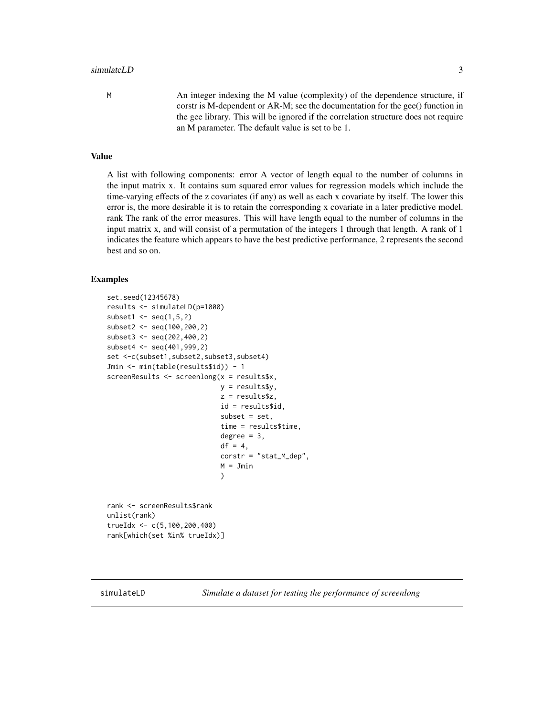#### <span id="page-2-0"></span>simulateLD 3

M An integer indexing the M value (complexity) of the dependence structure, if corstr is M-dependent or AR-M; see the documentation for the gee() function in the gee library. This will be ignored if the correlation structure does not require an M parameter. The default value is set to be 1.

#### Value

A list with following components: error A vector of length equal to the number of columns in the input matrix x. It contains sum squared error values for regression models which include the time-varying effects of the z covariates (if any) as well as each x covariate by itself. The lower this error is, the more desirable it is to retain the corresponding x covariate in a later predictive model. rank The rank of the error measures. This will have length equal to the number of columns in the input matrix x, and will consist of a permutation of the integers 1 through that length. A rank of 1 indicates the feature which appears to have the best predictive performance, 2 represents the second best and so on.

#### Examples

```
set.seed(12345678)
results <- simulateLD(p=1000)
subset1 \leq seq(1,5,2)
subset2 <- seq(100,200,2)
subset3 < -seq(202, 400, 2)subset4 < -seq(401, 999, 2)set <-c(subset1,subset2,subset3,subset4)
Jmin <- min(table(results$id)) - 1
screenResults <- screenlong(x = results$x,
                            y = results$y,
                            z = results$z,
                            id = results$id,
                            subset = set.
                            time = results$time,
                            degree = 3,
                            df = 4,
                            corstr = "stat_M_dep",
                            M = Jmin)
rank <- screenResults$rank
unlist(rank)
trueIdx <- c(5,100,200,400)
```
rank[which(set %in% trueIdx)]

simulateLD *Simulate a dataset for testing the performance of screenlong*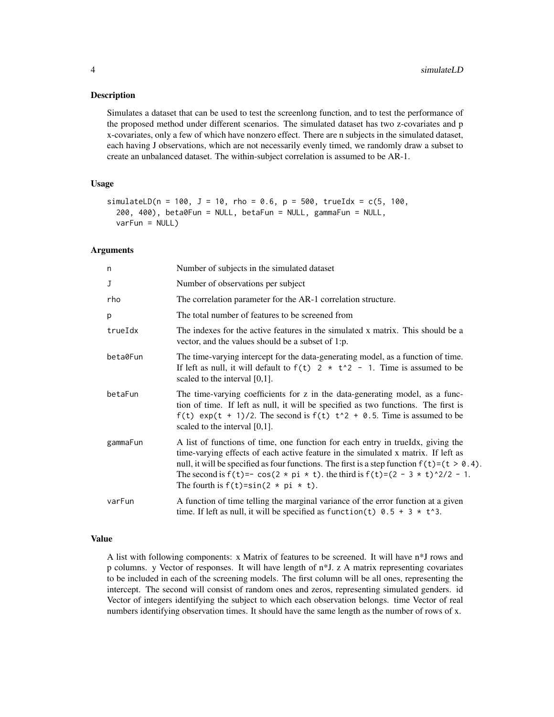#### Description

Simulates a dataset that can be used to test the screenlong function, and to test the performance of the proposed method under different scenarios. The simulated dataset has two z-covariates and p x-covariates, only a few of which have nonzero effect. There are n subjects in the simulated dataset, each having J observations, which are not necessarily evenly timed, we randomly draw a subset to create an unbalanced dataset. The within-subject correlation is assumed to be AR-1.

#### Usage

```
simulateLD(n = 100, J = 10, rho = 0.6, p = 500, trueIdx = c(5, 100,
 200, 400), beta0Fun = NULL, betaFun = NULL, gammaFun = NULL,
  varFun = NULL)
```
#### Arguments

| n        | Number of subjects in the simulated dataset                                                                                                                                                                                                                                                                                                                                                                                               |
|----------|-------------------------------------------------------------------------------------------------------------------------------------------------------------------------------------------------------------------------------------------------------------------------------------------------------------------------------------------------------------------------------------------------------------------------------------------|
| J        | Number of observations per subject                                                                                                                                                                                                                                                                                                                                                                                                        |
| rho      | The correlation parameter for the AR-1 correlation structure.                                                                                                                                                                                                                                                                                                                                                                             |
| p        | The total number of features to be screened from                                                                                                                                                                                                                                                                                                                                                                                          |
| trueIdx  | The indexes for the active features in the simulated x matrix. This should be a<br>vector, and the values should be a subset of 1:p.                                                                                                                                                                                                                                                                                                      |
| beta0Fun | The time-varying intercept for the data-generating model, as a function of time.<br>If left as null, it will default to $f(t)$ 2 $\star$ t <sup>2</sup> - 1. Time is assumed to be<br>scaled to the interval $[0,1]$ .                                                                                                                                                                                                                    |
| betaFun  | The time-varying coefficients for z in the data-generating model, as a func-<br>tion of time. If left as null, it will be specified as two functions. The first is<br>$f(t)$ exp(t + 1)/2. The second is $f(t)$ t <sup>2</sup> + 0.5. Time is assumed to be<br>scaled to the interval $[0,1]$ .                                                                                                                                           |
| gammaFun | A list of functions of time, one function for each entry in trueldx, giving the<br>time-varying effects of each active feature in the simulated x matrix. If left as<br>null, it will be specified as four functions. The first is a step function $f(t)=(t > 0.4)$ .<br>The second is $f(t) = -\cos(2 \times \pi) \times t$ . the third is $f(t) = (2 - 3 \times t)^{2}/2 - 1$ .<br>The fourth is $f(t) = \sin(2 \times \pi) \times t$ . |
| varFun   | A function of time telling the marginal variance of the error function at a given<br>time. If left as null, it will be specified as function(t) $0.5 + 3 \times t$ <sup>3</sup> .                                                                                                                                                                                                                                                         |

#### Value

A list with following components: x Matrix of features to be screened. It will have n\*J rows and p columns. y Vector of responses. It will have length of n\*J. z A matrix representing covariates to be included in each of the screening models. The first column will be all ones, representing the intercept. The second will consist of random ones and zeros, representing simulated genders. id Vector of integers identifying the subject to which each observation belongs. time Vector of real numbers identifying observation times. It should have the same length as the number of rows of x.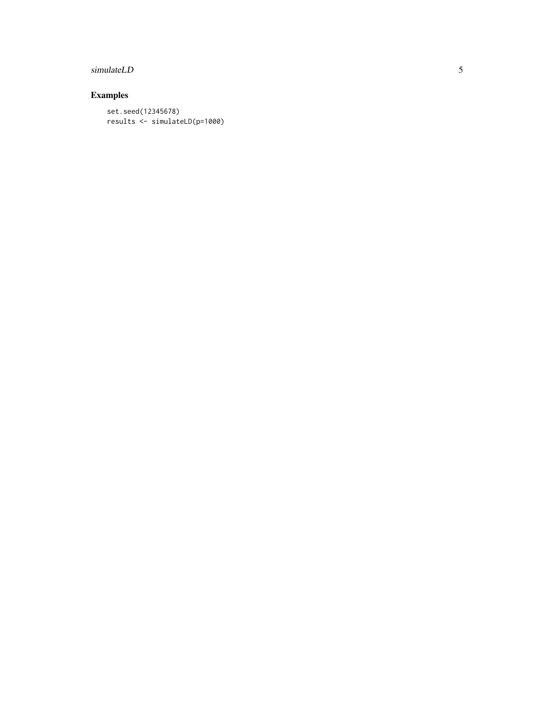#### simulateLD

### Examples

set.seed(12345678) results <- simulateLD(p=1000)